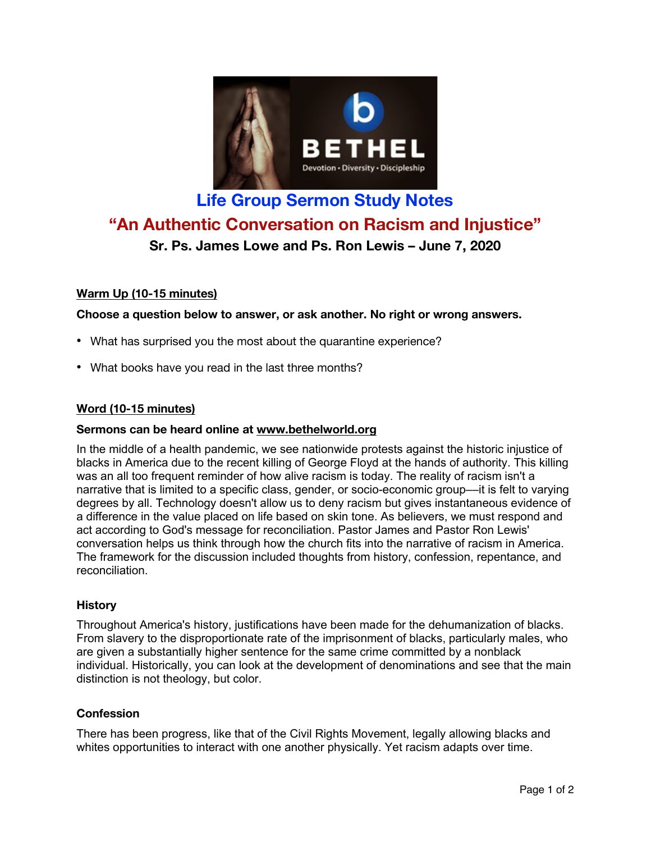

# **Life Group Sermon Study Notes "An Authentic Conversation on Racism and Injustice"**

# **Sr. Ps. James Lowe and Ps. Ron Lewis – June 7, 2020**

# **Warm Up (10-15 minutes)**

# **Choose a question below to answer, or ask another. No right or wrong answers.**

- What has surprised you the most about the quarantine experience?
- What books have you read in the last three months?

# **Word (10-15 minutes)**

#### **Sermons can be heard online at www.bethelworld.org**

In the middle of a health pandemic, we see nationwide protests against the historic injustice of blacks in America due to the recent killing of George Floyd at the hands of authority. This killing was an all too frequent reminder of how alive racism is today. The reality of racism isn't a narrative that is limited to a specific class, gender, or socio-economic group––it is felt to varying degrees by all. Technology doesn't allow us to deny racism but gives instantaneous evidence of a difference in the value placed on life based on skin tone. As believers, we must respond and act according to God's message for reconciliation. Pastor James and Pastor Ron Lewis' conversation helps us think through how the church fits into the narrative of racism in America. The framework for the discussion included thoughts from history, confession, repentance, and reconciliation.

#### **History**

Throughout America's history, justifications have been made for the dehumanization of blacks. From slavery to the disproportionate rate of the imprisonment of blacks, particularly males, who are given a substantially higher sentence for the same crime committed by a nonblack individual. Historically, you can look at the development of denominations and see that the main distinction is not theology, but color.

#### **Confession**

There has been progress, like that of the Civil Rights Movement, legally allowing blacks and whites opportunities to interact with one another physically. Yet racism adapts over time.